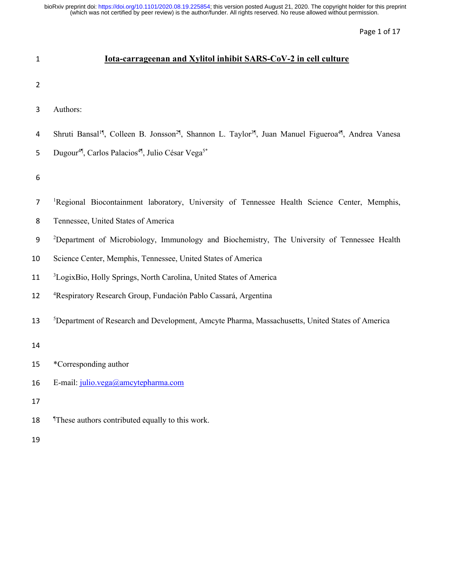Page 1 of 17

| $\mathbf{1}$   | <u>Iota-carrageenan and Xylitol inhibit SARS-CoV-2 in cell culture</u>                                                                            |
|----------------|---------------------------------------------------------------------------------------------------------------------------------------------------|
| $\overline{2}$ |                                                                                                                                                   |
| 3              | Authors:                                                                                                                                          |
| 4              | Shruti Bansal <sup>1</sup> , Colleen B. Jonsson <sup>2</sup> , Shannon L. Taylor <sup>3</sup> , Juan Manuel Figueroa <sup>4</sup> , Andrea Vanesa |
| 5              | Dugour <sup>4¶</sup> , Carlos Palacios <sup>4¶</sup> , Julio César Vega <sup>5*</sup>                                                             |
| 6              |                                                                                                                                                   |
| 7              | <sup>1</sup> Regional Biocontainment laboratory, University of Tennessee Health Science Center, Memphis,                                          |
| 8              | Tennessee, United States of America                                                                                                               |
| 9              | <sup>2</sup> Department of Microbiology, Immunology and Biochemistry, The University of Tennessee Health                                          |
| 10             | Science Center, Memphis, Tennessee, United States of America                                                                                      |
| 11             | <sup>3</sup> LogixBio, Holly Springs, North Carolina, United States of America                                                                    |
| 12             | <sup>4</sup> Respiratory Research Group, Fundación Pablo Cassará, Argentina                                                                       |
| 13             | <sup>5</sup> Department of Research and Development, Amcyte Pharma, Massachusetts, United States of America                                       |
| 14             |                                                                                                                                                   |
| 15             | *Corresponding author                                                                                                                             |
| 16             | E-mail: julio.vega@amcytepharma.com                                                                                                               |
| 17             |                                                                                                                                                   |
| 18             | These authors contributed equally to this work.                                                                                                   |
| 19             |                                                                                                                                                   |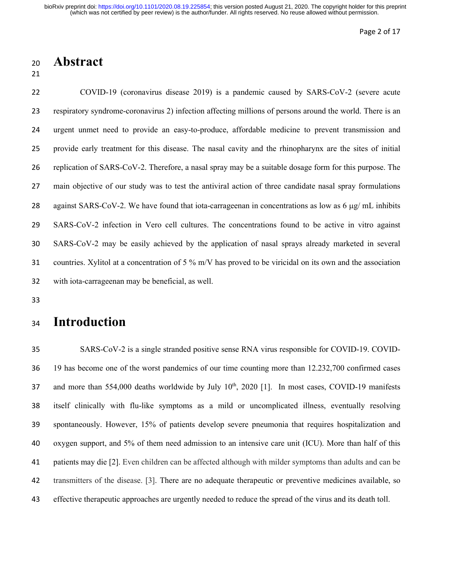Page 2 of 17

### **Abstract**

 COVID-19 (coronavirus disease 2019) is a pandemic caused by SARS-CoV-2 (severe acute respiratory syndrome-coronavirus 2) infection affecting millions of persons around the world. There is an urgent unmet need to provide an easy-to-produce, affordable medicine to prevent transmission and provide early treatment for this disease. The nasal cavity and the rhinopharynx are the sites of initial replication of SARS-CoV-2. Therefore, a nasal spray may be a suitable dosage form for this purpose. The main objective of our study was to test the antiviral action of three candidate nasal spray formulations 28 against SARS-CoV-2. We have found that iota-carrageenan in concentrations as low as  $6 \mu g/mL$  inhibits SARS-CoV-2 infection in Vero cell cultures. The concentrations found to be active in vitro against SARS-CoV-2 may be easily achieved by the application of nasal sprays already marketed in several countries. Xylitol at a concentration of 5 % m/V has proved to be viricidal on its own and the association with iota-carrageenan may be beneficial, as well.

# **Introduction**

 SARS-CoV-2 is a single stranded positive sense RNA virus responsible for COVID-19. COVID- 19 has become one of the worst pandemics of our time counting more than 12.232,700 confirmed cases 37 and more than 554,000 deaths worldwide by July 10<sup>th</sup>, 2020 [1]. In most cases, COVID-19 manifests itself clinically with flu-like symptoms as a mild or uncomplicated illness, eventually resolving spontaneously. However, 15% of patients develop severe pneumonia that requires hospitalization and oxygen support, and 5% of them need admission to an intensive care unit (ICU). More than half of this patients may die [2]. Even children can be affected although with milder symptoms than adults and can be transmitters of the disease. [3]. There are no adequate therapeutic or preventive medicines available, so effective therapeutic approaches are urgently needed to reduce the spread of the virus and its death toll.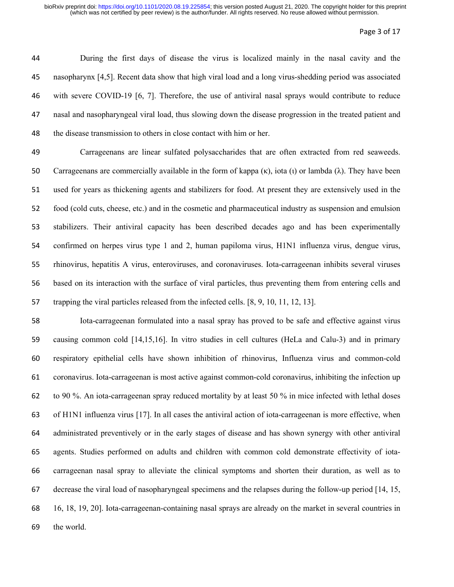#### Page 3 of 17

 During the first days of disease the virus is localized mainly in the nasal cavity and the nasopharynx [4,5]. Recent data show that high viral load and a long virus-shedding period was associated with severe COVID-19 [6, 7]. Therefore, the use of antiviral nasal sprays would contribute to reduce nasal and nasopharyngeal viral load, thus slowing down the disease progression in the treated patient and the disease transmission to others in close contact with him or her.

 Carrageenans are linear sulfated polysaccharides that are often extracted from red seaweeds. 50 Carrageenans are commercially available in the form of kappa (κ), iota (ι) or lambda (λ). They have been used for years as thickening agents and stabilizers for food. At present they are extensively used in the food (cold cuts, cheese, etc.) and in the cosmetic and pharmaceutical industry as suspension and emulsion stabilizers. Their antiviral capacity has been described decades ago and has been experimentally confirmed on herpes virus type 1 and 2, human papiloma virus, H1N1 influenza virus, dengue virus, rhinovirus, hepatitis A virus, enteroviruses, and coronaviruses. Iota-carrageenan inhibits several viruses based on its interaction with the surface of viral particles, thus preventing them from entering cells and trapping the viral particles released from the infected cells. [8, 9, 10, 11, 12, 13].

 Iota-carrageenan formulated into a nasal spray has proved to be safe and effective against virus causing common cold [14,15,16]. In vitro studies in cell cultures (HeLa and Calu-3) and in primary respiratory epithelial cells have shown inhibition of rhinovirus, Influenza virus and common-cold coronavirus. Iota-carrageenan is most active against common-cold coronavirus, inhibiting the infection up to 90 %. An iota-carrageenan spray reduced mortality by at least 50 % in mice infected with lethal doses of H1N1 influenza virus [17]. In all cases the antiviral action of iota-carrageenan is more effective, when administrated preventively or in the early stages of disease and has shown synergy with other antiviral agents. Studies performed on adults and children with common cold demonstrate effectivity of iota- carrageenan nasal spray to alleviate the clinical symptoms and shorten their duration, as well as to decrease the viral load of nasopharyngeal specimens and the relapses during the follow-up period [14, 15, 16, 18, 19, 20]. Iota-carrageenan-containing nasal sprays are already on the market in several countries in the world.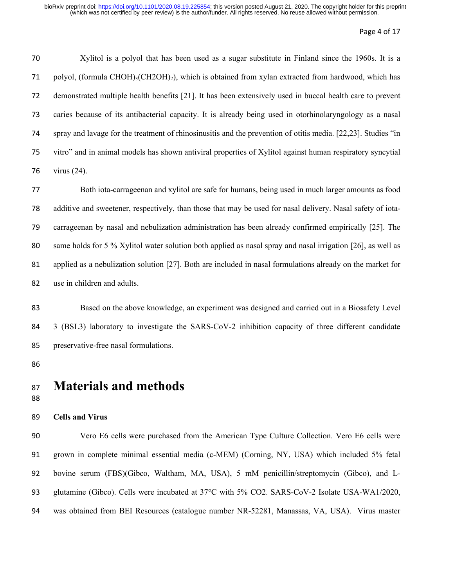#### Page 4 of 17

 Xylitol is a polyol that has been used as a sugar substitute in Finland since the 1960s. It is a 71 polyol, (formula CHOH)3(CH2OH)2), which is obtained from xylan extracted from hardwood, which has demonstrated multiple health benefits [21]. It has been extensively used in buccal health care to prevent caries because of its antibacterial capacity. It is already being used in otorhinolaryngology as a nasal spray and lavage for the treatment of rhinosinusitis and the prevention of otitis media. [22,23]. Studies "in vitro" and in animal models has shown antiviral properties of Xylitol against human respiratory syncytial virus (24).

 Both iota-carrageenan and xylitol are safe for humans, being used in much larger amounts as food additive and sweetener, respectively, than those that may be used for nasal delivery. Nasal safety of iota- carrageenan by nasal and nebulization administration has been already confirmed empirically [25]. The same holds for 5 % Xylitol water solution both applied as nasal spray and nasal irrigation [26], as well as applied as a nebulization solution [27]. Both are included in nasal formulations already on the market for use in children and adults.

 Based on the above knowledge, an experiment was designed and carried out in a Biosafety Level 3 (BSL3) laboratory to investigate the SARS-CoV-2 inhibition capacity of three different candidate preservative-free nasal formulations.

# **Materials and methods**

### **Cells and Virus**

 Vero E6 cells were purchased from the American Type Culture Collection. Vero E6 cells were grown in complete minimal essential media (c-MEM) (Corning, NY, USA) which included 5% fetal bovine serum (FBS)(Gibco, Waltham, MA, USA), 5 mM penicillin/streptomycin (Gibco), and L-93 glutamine (Gibco). Cells were incubated at 37°C with 5% CO2. SARS-CoV-2 Isolate USA-WA1/2020, was obtained from BEI Resources (catalogue number NR-52281, Manassas, VA, USA). Virus master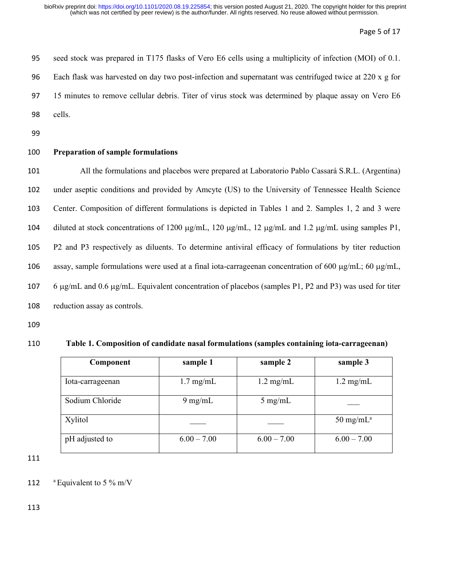Page 5 of 17

| 95 | seed stock was prepared in T175 flasks of Vero E6 cells using a multiplicity of infection (MOI) of 0.1. |
|----|---------------------------------------------------------------------------------------------------------|
| 96 | Each flask was harvested on day two post-infection and supernation was centrifuged twice at 220 x g for |
| 97 | 15 minutes to remove cellular debris. Titer of virus stock was determined by plaque assay on Vero E6    |
| 98 | cells.                                                                                                  |
|    |                                                                                                         |

99

### 100 **Preparation of sample formulations**

 All the formulations and placebos were prepared at Laboratorio Pablo Cassará S.R.L. (Argentina) under aseptic conditions and provided by Amcyte (US) to the University of Tennessee Health Science Center. Composition of different formulations is depicted in Tables 1 and 2. Samples 1, 2 and 3 were 104 diluted at stock concentrations of 1200  $\mu$ g/mL, 120  $\mu$ g/mL, 12  $\mu$ g/mL and 1.2  $\mu$ g/mL using samples P1, P2 and P3 respectively as diluents. To determine antiviral efficacy of formulations by titer reduction 106 assay, sample formulations were used at a final iota-carrageenan concentration of 600  $\mu$ g/mL; 60  $\mu$ g/mL, 6 µg/mL and 0.6 µg/mL. Equivalent concentration of placebos (samples P1, P2 and P3) was used for titer reduction assay as controls.

109

#### 110 **Table 1. Composition of candidate nasal formulations (samples containing iota-carrageenan)**

| Component        | sample 1            | sample 2            | sample 3                      |
|------------------|---------------------|---------------------|-------------------------------|
| Iota-carrageenan | $1.7 \text{ mg/mL}$ | $1.2 \text{ mg/mL}$ | $1.2 \text{ mg/mL}$           |
| Sodium Chloride  | $9 \text{ mg/mL}$   | $5 \text{ mg/mL}$   |                               |
| Xylitol          |                     |                     | $50 \text{ mg/mL}^{\text{a}}$ |
| pH adjusted to   | $6.00 - 7.00$       | $6.00 - 7.00$       | $6.00 - 7.00$                 |

111

112  $a$  Equivalent to 5 % m/V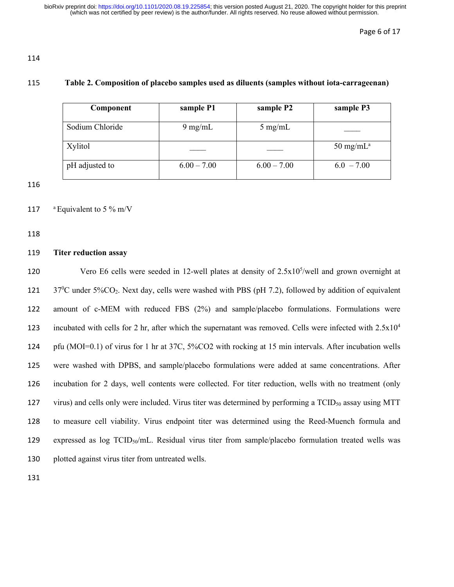114

### 115 **Table 2. Composition of placebo samples used as diluents (samples without iota-carrageenan)**

| Component       | sample P1         | sample P2         | sample P3     |
|-----------------|-------------------|-------------------|---------------|
| Sodium Chloride | $9 \text{ mg/mL}$ | $5 \text{ mg/mL}$ |               |
| Xylitol         |                   |                   | 50 mg/m $L^a$ |
| pH adjusted to  | $6.00 - 7.00$     | $6.00 - 7.00$     | $6.0 - 7.00$  |

116

### 117  $\mathrm{a}$  Equivalent to 5 % m/V

118

### 119 **Titer reduction assay**

120 Vero E6 cells were seeded in 12-well plates at density of  $2.5x10^5$ /well and grown overnight at  $37^{\circ}$ C under 5%CO<sub>2</sub>. Next day, cells were washed with PBS (pH 7.2), followed by addition of equivalent 122 amount of c-MEM with reduced FBS (2%) and sample/placebo formulations. Formulations were 123 incubated with cells for 2 hr, after which the supernatant was removed. Cells were infected with  $2.5x10^4$ 124 pfu (MOI=0.1) of virus for 1 hr at 37C, 5%CO2 with rocking at 15 min intervals. After incubation wells 125 were washed with DPBS, and sample/placebo formulations were added at same concentrations. After 126 incubation for 2 days, well contents were collected. For titer reduction, wells with no treatment (only 127 virus) and cells only were included. Virus titer was determined by performing a  $TCID<sub>50</sub>$  assay using MTT 128 to measure cell viability. Virus endpoint titer was determined using the Reed-Muench formula and 129 expressed as  $log TCID<sub>50</sub>/mL$ . Residual virus titer from sample/placebo formulation treated wells was 130 plotted against virus titer from untreated wells.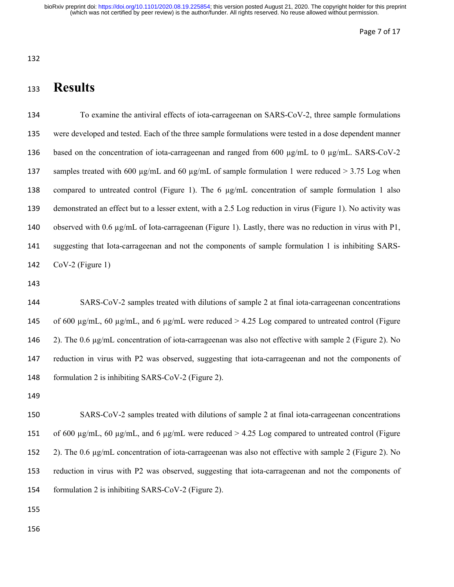# **Results**

 To examine the antiviral effects of iota-carrageenan on SARS-CoV-2, three sample formulations were developed and tested. Each of the three sample formulations were tested in a dose dependent manner 136 based on the concentration of iota-carrageenan and ranged from 600  $\mu$ g/mL to 0  $\mu$ g/mL. SARS-CoV-2 137 samples treated with 600 µg/mL and 60 µg/mL of sample formulation 1 were reduced > 3.75 Log when compared to untreated control (Figure 1). The 6 µg/mL concentration of sample formulation 1 also demonstrated an effect but to a lesser extent, with a 2.5 Log reduction in virus (Figure 1). No activity was observed with 0.6 µg/mL of Iota-carrageenan (Figure 1). Lastly, there was no reduction in virus with P1, suggesting that Iota-carrageenan and not the components of sample formulation 1 is inhibiting SARS-CoV-2 (Figure 1)

 SARS-CoV-2 samples treated with dilutions of sample 2 at final iota-carrageenan concentrations 145 of 600  $\mu$ g/mL, 60  $\mu$ g/mL, and 6  $\mu$ g/mL were reduced > 4.25 Log compared to untreated control (Figure 2). The 0.6 µg/mL concentration of iota-carrageenan was also not effective with sample 2 (Figure 2). No reduction in virus with P2 was observed, suggesting that iota-carrageenan and not the components of formulation 2 is inhibiting SARS-CoV-2 (Figure 2).

 SARS-CoV-2 samples treated with dilutions of sample 2 at final iota-carrageenan concentrations 151 of 600  $\mu$ g/mL, 60  $\mu$ g/mL, and 6  $\mu$ g/mL were reduced > 4.25 Log compared to untreated control (Figure 2). The 0.6 µg/mL concentration of iota-carrageenan was also not effective with sample 2 (Figure 2). No reduction in virus with P2 was observed, suggesting that iota-carrageenan and not the components of formulation 2 is inhibiting SARS-CoV-2 (Figure 2).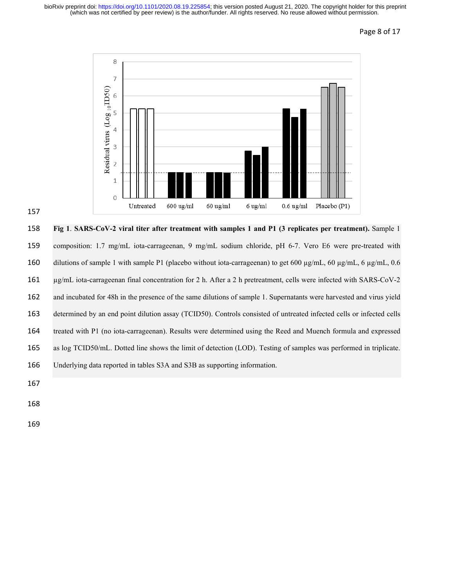

 **Fig 1**. **SARS-CoV-2 viral titer after treatment with samples 1 and P1 (3 replicates per treatment).** Sample 1 composition: 1.7 mg/mL iota-carrageenan, 9 mg/mL sodium chloride, pH 6-7. Vero E6 were pre-treated with 160 dilutions of sample 1 with sample P1 (placebo without iota-carrageenan) to get 600  $\mu$ g/mL, 60  $\mu$ g/mL, 6 $\mu$ g/mL, 0.6 µg/mL iota-carrageenan final concentration for 2 h. After a 2 h pretreatment, cells were infected with SARS-CoV-2 and incubated for 48h in the presence of the same dilutions of sample 1. Supernatants were harvested and virus yield 163 determined by an end point dilution assay (TCID50). Controls consisted of untreated infected cells or infected cells treated with P1 (no iota-carrageenan). Results were determined using the Reed and Muench formula and expressed as log TCID50/mL. Dotted line shows the limit of detection (LOD). Testing of samples was performed in triplicate. Underlying data reported in tables S3A and S3B as supporting information.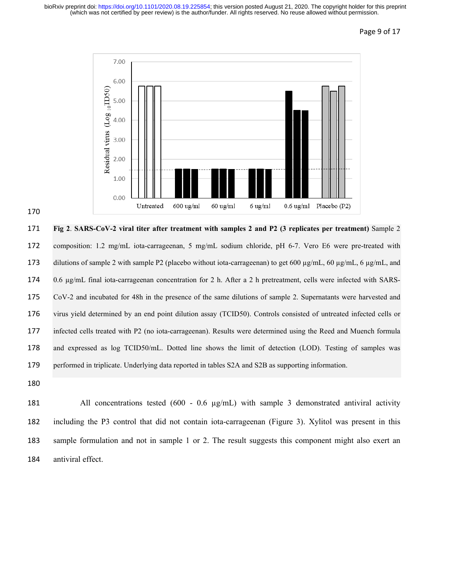

 **Fig 2**. **SARS-CoV-2 viral titer after treatment with samples 2 and P2 (3 replicates per treatment)** Sample 2 composition: 1.2 mg/mL iota-carrageenan, 5 mg/mL sodium chloride, pH 6-7. Vero E6 were pre-treated with 173 dilutions of sample 2 with sample P2 (placebo without iota-carrageenan) to get 600  $\mu$ g/mL, 60  $\mu$ g/mL, 6  $\mu$ g/mL, and 0.6 µg/mL final iota-carrageenan concentration for 2 h. After a 2 h pretreatment, cells were infected with SARS- CoV-2 and incubated for 48h in the presence of the same dilutions of sample 2. Supernatants were harvested and virus yield determined by an end point dilution assay (TCID50). Controls consisted of untreated infected cells or infected cells treated with P2 (no iota-carrageenan). Results were determined using the Reed and Muench formula and expressed as log TCID50/mL. Dotted line shows the limit of detection (LOD). Testing of samples was performed in triplicate. Underlying data reported in tables S2A and S2B as supporting information.

181 All concentrations tested (600 - 0.6 µg/mL) with sample 3 demonstrated antiviral activity including the P3 control that did not contain iota-carrageenan (Figure 3). Xylitol was present in this sample formulation and not in sample 1 or 2. The result suggests this component might also exert an antiviral effect.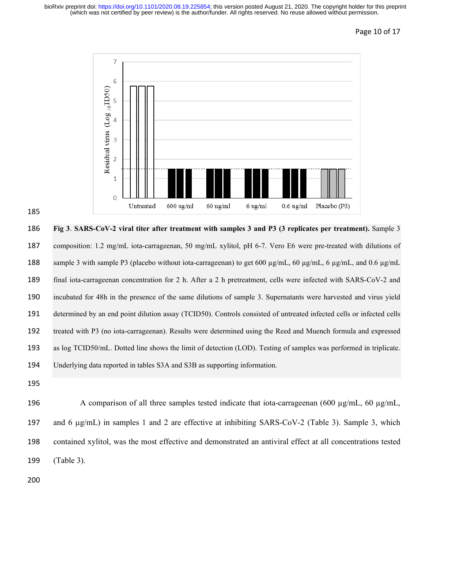### Page 10 of 17



 **Fig 3**. **SARS-CoV-2 viral titer after treatment with samples 3 and P3 (3 replicates per treatment).** Sample 3 composition: 1.2 mg/mL iota-carrageenan, 50 mg/mL xylitol, pH 6-7. Vero E6 were pre-treated with dilutions of 188 sample 3 with sample P3 (placebo without iota-carrageenan) to get 600 µg/mL, 60 µg/mL, 6 µg/mL, and 0.6 µg/mL final iota-carrageenan concentration for 2 h. After a 2 h pretreatment, cells were infected with SARS-CoV-2 and incubated for 48h in the presence of the same dilutions of sample 3. Supernatants were harvested and virus yield 191 determined by an end point dilution assay (TCID50). Controls consisted of untreated infected cells or infected cells treated with P3 (no iota-carrageenan). Results were determined using the Reed and Muench formula and expressed as log TCID50/mL. Dotted line shows the limit of detection (LOD). Testing of samples was performed in triplicate. Underlying data reported in tables S3A and S3B as supporting information.

 A comparison of all three samples tested indicate that iota-carrageenan (600 µg/mL, 60 µg/mL, and 6 µg/mL) in samples 1 and 2 are effective at inhibiting SARS-CoV-2 (Table 3). Sample 3, which contained xylitol, was the most effective and demonstrated an antiviral effect at all concentrations tested (Table 3).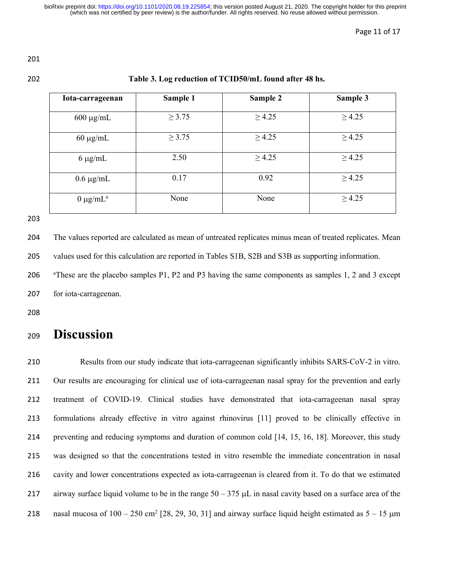#### Page 11 of 17

### **Table 3. Log reduction of TCID50/mL found after 48 hs.**

| Iota-carrageenan | Sample 1    | Sample 2    | Sample 3    |
|------------------|-------------|-------------|-------------|
| $600 \mu g/mL$   | $\geq 3.75$ | $\geq 4.25$ | $\geq 4.25$ |
| $60 \mu g/mL$    | $\geq 3.75$ | $\geq 4.25$ | $\geq 4.25$ |
| $6 \mu g/mL$     | 2.50        | $\geq 4.25$ | $\geq 4.25$ |
| $0.6 \mu g/mL$   | 0.17        | 0.92        | $\geq 4.25$ |
| $0 \mu g/mL^a$   | None        | None        | $\geq 4.25$ |

 The values reported are calculated as mean of untreated replicates minus mean of treated replicates. Mean values used for this calculation are reported in Tables S1B, S2B and S3B as supporting information.

<sup>a</sup> These are the placebo samples P1, P2 and P3 having the same components as samples 1, 2 and 3 except for iota-carrageenan.

# **Discussion**

 Results from our study indicate that iota-carrageenan significantly inhibits SARS-CoV-2 in vitro. Our results are encouraging for clinical use of iota-carrageenan nasal spray for the prevention and early treatment of COVID-19. Clinical studies have demonstrated that iota-carrageenan nasal spray formulations already effective in vitro against rhinovirus [11] proved to be clinically effective in preventing and reducing symptoms and duration of common cold [14, 15, 16, 18]. Moreover, this study was designed so that the concentrations tested in vitro resemble the immediate concentration in nasal cavity and lower concentrations expected as iota-carrageenan is cleared from it. To do that we estimated 217 airway surface liquid volume to be in the range  $50 - 375 \mu L$  in nasal cavity based on a surface area of the 218 nasal mucosa of  $100 - 250$  cm<sup>2</sup> [28, 29, 30, 31] and airway surface liquid height estimated as  $5 - 15$  µm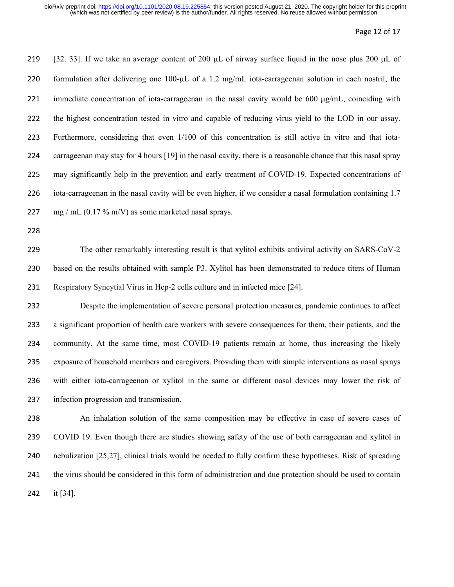#### Page 12 of 17

219 [32. 33]. If we take an average content of 200  $\mu$ L of airway surface liquid in the nose plus 200  $\mu$ L of 220 formulation after delivering one 100-µL of a 1.2 mg/mL iota-carrageenan solution in each nostril, the immediate concentration of iota-carrageenan in the nasal cavity would be 600 µg/mL, coinciding with the highest concentration tested in vitro and capable of reducing virus yield to the LOD in our assay. Furthermore, considering that even 1/100 of this concentration is still active in vitro and that iota- carrageenan may stay for 4 hours [19] in the nasal cavity, there is a reasonable chance that this nasal spray may significantly help in the prevention and early treatment of COVID-19. Expected concentrations of iota-carrageenan in the nasal cavity will be even higher, if we consider a nasal formulation containing 1.7 227 mg / mL  $(0.17\% \text{ m/V})$  as some marketed nasal sprays.

 The other remarkably interesting result is that xylitol exhibits antiviral activity on SARS-CoV-2 based on the results obtained with sample P3. Xylitol has been demonstrated to reduce titers of Human Respiratory Syncytial Virus in Hep-2 cells culture and in infected mice [24].

 Despite the implementation of severe personal protection measures, pandemic continues to affect a significant proportion of health care workers with severe consequences for them, their patients, and the community. At the same time, most COVID-19 patients remain at home, thus increasing the likely exposure of household members and caregivers. Providing them with simple interventions as nasal sprays with either iota-carrageenan or xylitol in the same or different nasal devices may lower the risk of infection progression and transmission.

 An inhalation solution of the same composition may be effective in case of severe cases of COVID 19. Even though there are studies showing safety of the use of both carrageenan and xylitol in nebulization [25,27], clinical trials would be needed to fully confirm these hypotheses. Risk of spreading the virus should be considered in this form of administration and due protection should be used to contain it [34].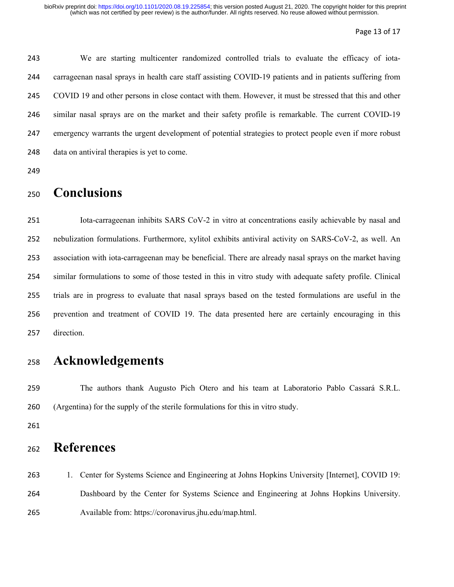#### Page 13 of 17

 We are starting multicenter randomized controlled trials to evaluate the efficacy of iota- carrageenan nasal sprays in health care staff assisting COVID-19 patients and in patients suffering from COVID 19 and other persons in close contact with them. However, it must be stressed that this and other similar nasal sprays are on the market and their safety profile is remarkable. The current COVID-19 emergency warrants the urgent development of potential strategies to protect people even if more robust data on antiviral therapies is yet to come.

# **Conclusions**

 Iota-carrageenan inhibits SARS CoV-2 in vitro at concentrations easily achievable by nasal and nebulization formulations. Furthermore, xylitol exhibits antiviral activity on SARS-CoV-2, as well. An association with iota-carrageenan may be beneficial. There are already nasal sprays on the market having similar formulations to some of those tested in this in vitro study with adequate safety profile. Clinical trials are in progress to evaluate that nasal sprays based on the tested formulations are useful in the prevention and treatment of COVID 19. The data presented here are certainly encouraging in this direction.

# **Acknowledgements**

 The authors thank Augusto Pich Otero and his team at Laboratorio Pablo Cassará S.R.L. (Argentina) for the supply of the sterile formulations for this in vitro study.

# **References**

 1. Center for Systems Science and Engineering at Johns Hopkins University [Internet], COVID 19: Dashboard by the Center for Systems Science and Engineering at Johns Hopkins University. Available from[: https://coronavirus.jhu.edu/map.html.](https://coronavirus.jhu.edu/map.html)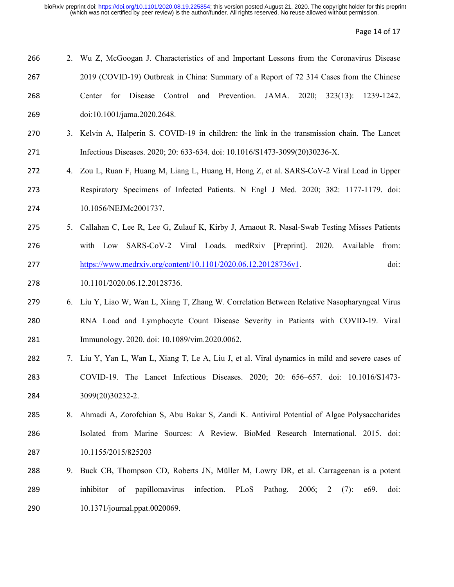Page 14 of 17

| 266 |    | 2. Wu Z, McGoogan J. Characteristics of and Important Lessons from the Coronavirus Disease               |
|-----|----|----------------------------------------------------------------------------------------------------------|
| 267 |    | 2019 (COVID-19) Outbreak in China: Summary of a Report of 72 314 Cases from the Chinese                  |
| 268 |    | Control<br>and Prevention.<br>JAMA. 2020;<br>$323(13)$ :<br>1239-1242.<br>Center for<br>Disease          |
| 269 |    | doi:10.1001/jama.2020.2648.                                                                              |
| 270 |    | 3. Kelvin A, Halperin S. COVID-19 in children: the link in the transmission chain. The Lancet            |
| 271 |    | Infectious Diseases. 2020; 20: 633-634. doi: 10.1016/S1473-3099(20)30236-X.                              |
| 272 |    | 4. Zou L, Ruan F, Huang M, Liang L, Huang H, Hong Z, et al. SARS-CoV-2 Viral Load in Upper               |
| 273 |    | Respiratory Specimens of Infected Patients. N Engl J Med. 2020; 382: 1177-1179. doi:                     |
| 274 |    | 10.1056/NEJMc2001737.                                                                                    |
| 275 | 5. | Callahan C, Lee R, Lee G, Zulauf K, Kirby J, Arnaout R. Nasal-Swab Testing Misses Patients               |
| 276 |    | with Low SARS-CoV-2 Viral Loads. medRxiv [Preprint]. 2020.<br>Available<br>from:                         |
| 277 |    | https://www.medrxiv.org/content/10.1101/2020.06.12.20128736v1.<br>doi:                                   |
| 278 |    | 10.1101/2020.06.12.20128736.                                                                             |
| 279 |    | 6. Liu Y, Liao W, Wan L, Xiang T, Zhang W. Correlation Between Relative Nasopharyngeal Virus             |
| 280 |    | RNA Load and Lymphocyte Count Disease Severity in Patients with COVID-19. Viral                          |
| 281 |    | Immunology. 2020. doi: 10.1089/vim.2020.0062.                                                            |
| 282 |    | 7. Liu Y, Yan L, Wan L, Xiang T, Le A, Liu J, et al. Viral dynamics in mild and severe cases of          |
| 283 |    | COVID-19. The Lancet Infectious Diseases. 2020; 20: 656–657. doi: 10.1016/S1473-                         |
| 284 |    | 3099(20)30232-2.                                                                                         |
| 285 | 8. | Ahmadi A, Zorofchian S, Abu Bakar S, Zandi K. Antiviral Potential of Algae Polysaccharides               |
| 286 |    | Isolated from Marine Sources: A Review. BioMed Research International. 2015. doi:                        |
| 287 |    | 10.1155/2015/825203                                                                                      |
| 288 | 9. | Buck CB, Thompson CD, Roberts JN, Müller M, Lowry DR, et al. Carrageenan is a potent                     |
| 289 |    | papillomavirus<br>infection.<br>PLoS<br>inhibitor<br>of<br>Pathog.<br>2006;<br>doi:<br>(7):<br>e69.<br>2 |
| 290 |    | 10.1371/journal.ppat.0020069.                                                                            |
|     |    |                                                                                                          |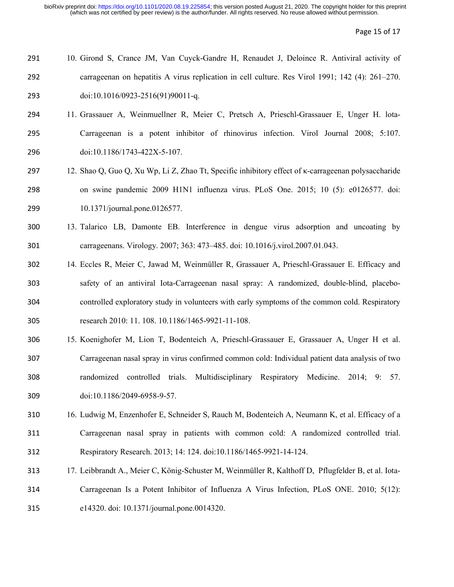Page 15 of 17

| 291 | 10. Girond S, Crance JM, Van Cuyck-Gandre H, Renaudet J, Deloince R. Antiviral activity of      |
|-----|-------------------------------------------------------------------------------------------------|
| 292 | carrageenan on hepatitis A virus replication in cell culture. Res Virol 1991; 142 (4): 261–270. |
| 293 | $doi:10.1016/0923-2516(91)90011-q.$                                                             |

- 11. Grassauer A, Weinmuellner R, Meier C, Pretsch A, Prieschl-Grassauer E, Unger H. lota- Carrageenan is a potent inhibitor of rhinovirus infection. Virol Journal 2008; 5:107. doi:10.1186/1743-422X-5-107.
- 12. Shao Q, Guo Q, Xu Wp, Li Z, Zhao Tt, Specific inhibitory effect of κ-carrageenan polysaccharide on swine pandemic 2009 H1N1 influenza virus. PLoS One. 2015; 10 (5): e0126577. doi: 10.1371/journal.pone.0126577.
- 13. Talarico LB, Damonte EB. Interference in dengue virus adsorption and uncoating by carrageenans. Virology. 2007; 363: 473–485. doi: 10.1016/j.virol.2007.01.043.
- 14. Eccles R, Meier C, Jawad M, Weinmüller R, Grassauer A, Prieschl-Grassauer E. Efficacy and safety of an antiviral Iota-Carrageenan nasal spray: A randomized, double-blind, placebo- controlled exploratory study in volunteers with early symptoms of the common cold. Respiratory research 2010: 11. 108. 10.1186/1465-9921-11-108.
- 15. Koenighofer M, Lion T, Bodenteich A, Prieschl-Grassauer E, Grassauer A, Unger H et al. Carrageenan nasal spray in virus confirmed common cold: Individual patient data analysis of two randomized controlled trials. Multidisciplinary Respiratory Medicine. 2014; 9: 57. doi:10.1186/2049-6958-9-57.
- 16. Ludwig M, Enzenhofer E, Schneider S, Rauch M, Bodenteich A, Neumann K, et al. Efficacy of a Carrageenan nasal spray in patients with common cold: A randomized controlled trial. Respiratory Research. 2013; 14: 124. doi:10.1186/1465-9921-14-124.
- 17. Leibbrandt A., Meier C, König-Schuster M, Weinmüller R, Kalthoff D, Pflugfelder B, et al. Iota- Carrageenan Is a Potent Inhibitor of Influenza A Virus Infection, PLoS ONE. 2010; 5(12): e14320. doi: 10.1371/journal.pone.0014320.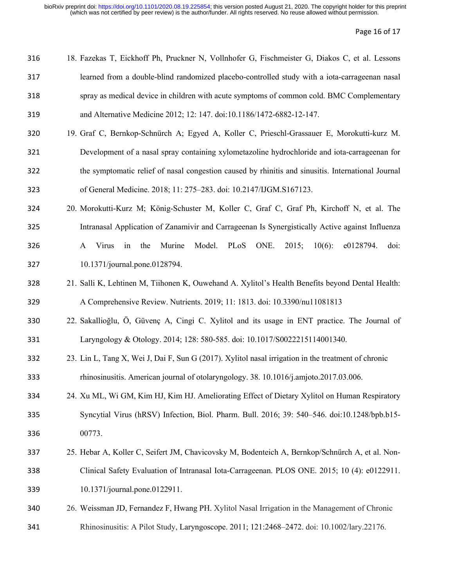Page 16 of 17

| 316 | 18. Fazekas T, Eickhoff Ph, Pruckner N, Vollnhofer G, Fischmeister G, Diakos C, et al. Lessons                     |
|-----|--------------------------------------------------------------------------------------------------------------------|
| 317 | learned from a double-blind randomized placebo-controlled study with a iota-carrageman nasal                       |
| 318 | spray as medical device in children with acute symptoms of common cold. BMC Complementary                          |
| 319 | and Alternative Medicine 2012; 12: 147. doi:10.1186/1472-6882-12-147.                                              |
| 320 | 19. Graf C, Bernkop-Schnürch A; Egyed A, Koller C, Prieschl-Grassauer E, Morokutti-kurz M.                         |
| 321 | Development of a nasal spray containing xylometazoline hydrochloride and iota-carrageenan for                      |
| 322 | the symptomatic relief of nasal congestion caused by rhinitis and sinusitis. International Journal                 |
| 323 | of General Medicine. 2018; 11: 275-283. doi: 10.2147/IJGM.S167123.                                                 |
| 324 | 20. Morokutti-Kurz M; König-Schuster M, Koller C, Graf C, Graf Ph, Kirchoff N, et al. The                          |
| 325 | Intranasal Application of Zanamivir and Carrageenan Is Synergistically Active against Influenza                    |
| 326 | Model. PLoS ONE.<br>2015;<br>$10(6)$ :<br>Murine<br>e0128794.<br><b>Virus</b><br>the<br>doi:<br>$\mathsf{A}$<br>in |
| 327 | 10.1371/journal.pone.0128794.                                                                                      |
| 328 | 21. Salli K, Lehtinen M, Tiihonen K, Ouwehand A. Xylitol's Health Benefits beyond Dental Health:                   |

A Comprehensive Review. Nutrients. 2019; 11: 1813. doi: 10.3390/nu11081813

- 22. Sakallioğlu, Ö, Güvenç A, Cingi C. Xylitol and its usage in ENT practice. The Journal of Laryngology & Otology. 2014; 128: 580-585. doi: 10.1017/S0022215114001340.
- 23. Lin L, Tang X, Wei J, Dai F, Sun G (2017). Xylitol nasal irrigation in the treatment of chronic rhinosinusitis. American journal of otolaryngology. 38. 10.1016/j.amjoto.2017.03.006.
- 24. Xu ML, Wi GM, Kim HJ, Kim HJ. Ameliorating Effect of Dietary Xylitol on Human Respiratory Syncytial Virus (hRSV) Infection, Biol. Pharm. Bull. 2016; 39: 540–546. doi[:10.1248/bpb.b15-](https://doi.org/10.1248/bpb.b15-00773) [00773.](https://doi.org/10.1248/bpb.b15-00773)
- 25. Hebar A, Koller C, Seifert JM, Chavicovsky M, Bodenteich A, Bernkop/Schnürch A, et al. Non- Clinical Safety Evaluation of Intranasal Iota-Carrageenan. PLOS ONE. 2015; 10 (4): e0122911. 10.1371/journal.pone.0122911.
- 26. Weissman JD, Fernandez F, Hwang PH. Xylitol Nasal Irrigation in the Management of Chronic
- Rhinosinusitis: A Pilot Study, Laryngoscope. 2011; 121:2468–2472. doi: 10.1002/lary.22176.